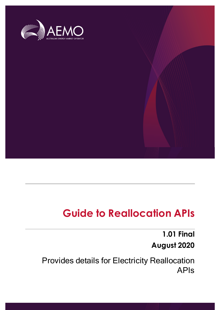

## **Guide to Reallocation APIs**

## **1.01 Final August 2020**

Provides details for Electricity Reallocation APIs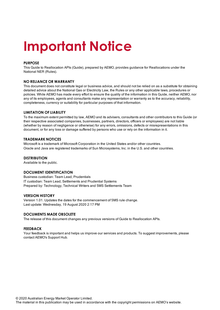## **Important Notice**

#### **PURPOSE**

This Guide to Reallocation APIs (Guide), prepared by AEMO, provides guidance for Reallocations under the National NER (Rules).

#### **NO RELIANCE OR WARRANTY**

This document does not constitute legal or business advice, and should not be relied on as a substitute for obtaining detailed advice about the National Gas or Electricity Law, the Rules or any other applicable laws, procedures or policies. While AEMO has made every effort to ensure the quality of the information in this Guide, neither AEMO, nor any of its employees, agents and consultants make any representation or warranty as to the accuracy, reliability, completeness, currency or suitability for particular purposes of that information.

#### **LIMITATION OF LIABILITY**

To the maximum extent permitted by law, AEMO and its advisers, consultants and other contributors to this Guide (or their respective associated companies, businesses, partners, directors, officers or employees) are not liable (whether by reason of negligence or otherwise) for any errors, omissions, defects or misrepresentations in this document, or for any loss or damage suffered by persons who use or rely on the information in it.

#### **TRADEMARK NOTICES**

Microsoft is a trademark of Microsoft Corporation in the United States and/or other countries. Oracle and Java are registered trademarks of Sun Microsystems, Inc. in the U.S. and other countries.

#### **DISTRIBUTION**

Available to the public.

#### **DOCUMENT IDENTIFICATION**

Business custodian: Team Lead, Prudentials IT custodian: Team Lead, Settlements and Prudential Systems Prepared by: Technology, Technical Writers and 5MS Settlements Team

#### **VERSION HISTORY**

Version 1.01. Updates the dates for the commencement of 5MS rule change. Last update: Wednesday, 19 August 2020 2:17 PM

#### **DOCUMENTS MADE OBSOLETE**

The release of this document changes any previous versions of Guide to Reallocation APIs.

#### **FEEDBACK**

Your feedback is important and helps us improve our services and products. To suggest improvements, please contact AEMO's Support Hub.

© 2020 Australian Energy Market Operator Limited.

The material in this publication may be used in accordance with the copyright permissions on AEMO's website.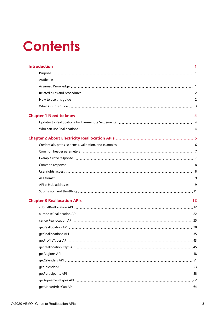## **Contents**

| aetReallocation API | 28 |
|---------------------|----|
|                     |    |
|                     |    |
|                     |    |
|                     |    |
|                     |    |
|                     |    |
|                     |    |
|                     |    |
|                     |    |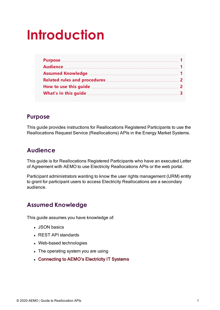## <span id="page-4-0"></span>**Introduction**

#### <span id="page-4-1"></span>**Purpose**

This guide provides instructions for Reallocations Registered Participants to use the Reallocations Request Service (Reallocations) APIs in the Energy Market Systems.

## <span id="page-4-2"></span>**Audience**

This guide is for Reallocations Registered Participants who have an executed Letter of Agreement with AEMO to use Electricity Reallocations APIs or the web portal.

Participant administrators wanting to know the user rights management (URM) entity to grant for participant users to access Electricity Reallocations are a secondary audience.

## <span id="page-4-3"></span>**Assumed Knowledge**

This guide assumes you have knowledge of:

- JSON basics
- REST API standards
- Web-based technologies
- The operating system you are using
- Connecting to AEMO's Electricity IT Systems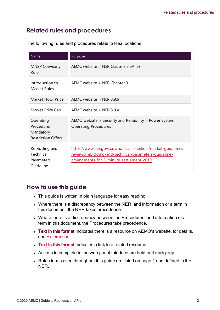## <span id="page-5-0"></span>**Related rules and procedures**

| Name                                                              | Purpose                                                                                                                                                         |
|-------------------------------------------------------------------|-----------------------------------------------------------------------------------------------------------------------------------------------------------------|
| <b>MNSP Convexity</b><br>Rule                                     | AEMC website > NER Clause 3.8.6A (e)                                                                                                                            |
| Introduction to<br><b>Market Rules</b>                            | AEMC website > NER Chapter 3                                                                                                                                    |
| Market Floor Price                                                | AEMC website $>$ NER 3.9.6                                                                                                                                      |
| Market Price Cap                                                  | AEMC website $>$ NER 3.9.4                                                                                                                                      |
| Operating<br>Procedure:<br>Mandatory<br><b>Restriction Offers</b> | AEMO website > Security and Reliability > Power System<br><b>Operating Procedures</b>                                                                           |
| Rebidding and<br>Technical<br>Parameters<br>Guideline             | https://www.aer.gov.au/wholesale-markets/market-guidelines-<br>reviews/rebidding-and-technical-parameters-guideline-<br>amendments-for-5-minute-settlement-2019 |

The following rules and procedures relate to Reallocations:

## <span id="page-5-1"></span>**How to use this guide**

- This guide is written in plain language for easy reading.
- Where there is a discrepancy between the NER, and information or a term in this document, the NER takes precedence.
- Where there is a discrepancy between the Procedures, and information or a term in this document, the Procedures take precedence.
- Text in this format indicates there is a resource on AEMO's website, for details, see References.
- Text in this format indicates a link to a related resource.
- Actions to complete in the web portal interface are bold and dark grey.
- Rules terms used throughout this guide are listed on page 1 and defined in the NER.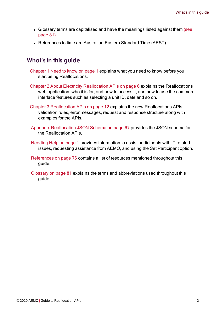- Glossary terms are capitalised and have the meanings listed against them [\(see](#page-84-0) [page](#page-84-0) 81).
- References to time are Australian Eastern Standard Time (AEST).

#### <span id="page-6-0"></span>**What's in this guide**

- Chapter 1 Need to know on page 1 explains what you need to know before you start using Reallocations.
- Chapter 2 About Electricity [Reallocation](#page-9-0) APIs on page 6 explains the Reallocations web application, who it is for, and how to access it, and how to use the common interface features such as selecting a unit ID, date and so on.
- Chapter 3 [Reallocation](#page-15-0) APIs on page 12 explains the new Reallocations APIs, validation rules, error messages, request and response structure along with examples for the APIs.
- Appendix [Reallocation](#page-70-0) JSON Schema on page 67 provides the JSON schema for the Reallocation APIs.
- Needing Help on page 1 provides information to assist participants with IT related issues, requesting assistance from AEMO, and using the Set Participant option.
- [References](#page-79-0) on page 76 contains a list of resources mentioned throughout this guide.
- [Glossary](#page-84-0) on page 81 explains the terms and abbreviations used throughout this guide.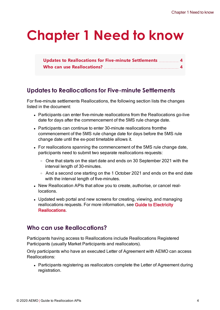## <span id="page-7-0"></span>**Chapter 1 Need to know**

| Updates to Reallocations for Five-minute Settlements  4 |  |
|---------------------------------------------------------|--|
|                                                         |  |

## <span id="page-7-1"></span>**Updates to Reallocations for Five-minute Settlements**

For five-minute settlements Reallocations, the following section lists the changes listed in the document:

- Participants can enter five-minute reallocations from the Reallocations go-live date for days after the commencement of the 5MS rule change date.
- Participants can continue to enter 30-minute reallocations from the commencement of the 5MS rule change date for days before the 5MS rule change date until the ex-post timetable allows it.
- For reallocations spanning the commencement of the 5MS rule change date, participants need to submit two separate reallocations requests:
	- One that starts on the start date and ends on 30 September 2021 with the interval length of 30-minutes.
	- $\circ$  And a second one starting on the 1 October 2021 and ends on the end date with the interval length of five-minutes.
- New Reallocation APIs that allow you to create, authorise, or cancel reallocations.
- Updated web portal and new screens for creating, viewing, and managing reallocations requests. For more information, see Guide to Electricity Reallocations.

## <span id="page-7-2"></span>**Who can use Reallocations?**

Participants having access to Reallocations include Reallocations Registered Participants (usually Market Participants and reallocators).

Only participants who have an executed Letter of Agreement with AEMO can access Reallocations:

• Participants registering as reallocators complete the Letter of Agreement during registration.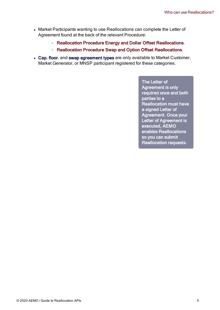- Market Participants wanting to use Reallocations can complete the Letter of Agreement found at the back of the relevant Procedure:
	- Reallocation Procedure Energy and Dollar Offset Reallocations.
	- Reallocation Procedure Swap and Option Offset Reallocations.
- Cap, floor, and swap agreement types are only available to Market Customer, Market Generator, or MNSP participant registered for these categories.

The Letter of Agreement is only required once and both parties to a Reallocation must have a signed Letter of Agreement. Once your Letter of Agreement is executed, AEMO enables Reallocations so you can submit Reallocation requests.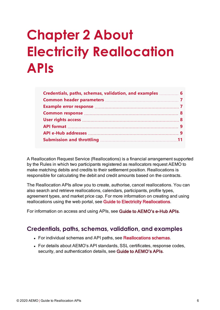# <span id="page-9-0"></span>**Chapter 2 About Electricity Reallocation APIs**

| Credentials, paths, schemas, validation, and examples  6 |  |
|----------------------------------------------------------|--|
|                                                          |  |
|                                                          |  |
|                                                          |  |
|                                                          |  |
|                                                          |  |
|                                                          |  |
|                                                          |  |
|                                                          |  |

A Reallocation Request Service (Reallocations) is a financial arrangement supported by the Rules in which two participants registered as reallocators request AEMO to make matching debits and credits to their settlement position. Reallocations is responsible for calculating the debit and credit amounts based on the contracts.

The Reallocation APIs allow you to create, authorise, cancel reallocations. You can also search and retrieve reallocations, calendars, participants, profile types, agreement types, and market price cap. For more information on creating and using reallocations using the web portal, see Guide to Electricity [Reallocations](https://aemo.com.au/-/media/files/electricity/nem/settlements_and_payments/prudentials/2019/guide-to-electricity-reallocations.pdf).

For information on access and using APIs, see Guide to AEMO's e-Hub APIs.

#### <span id="page-9-1"></span>**Credentials, paths, schemas, validation, and examples**

- For individual schemas and API paths, see Reallocations schemas.
- For details about AEMO's API standards, SSL certificates, response codes, security, and authentication details, see Guide to AEMO's APIs.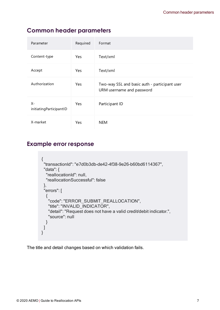## <span id="page-10-0"></span>**Common header parameters**

| Parameter                     | Required   | Format                                                                     |
|-------------------------------|------------|----------------------------------------------------------------------------|
| Content-type                  | Yes        | Text/xml                                                                   |
| Accept                        | Yes        | Text/xml                                                                   |
| Authorization                 | Yes        | Two-way SSL and basic auth - participant user<br>URM username and password |
| X-<br>initiatingParticipantID | <b>Yes</b> | Participant ID                                                             |
| X-market                      | Yes        | <b>NEM</b>                                                                 |

## <span id="page-10-1"></span>**Example error response**

```
{
"transactionId": "e7d0b3db-de42-4f38-9e26-b60bd6114367",
 "data": {
  "reallocationId": null,
  "reallocationSuccessful": false
 },
 "errors": [
  {
   "code": "ERROR_SUBMIT_REALLOCATION",
   "title": "INVALID_INDICATOR",
   "detail": "Request does not have a valid credit/debit indicator.",
   "source": null
  }
]
}
```
The title and detail changes based on which validation fails.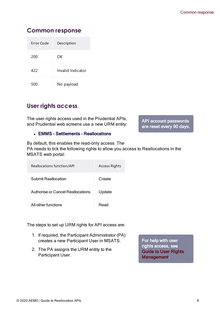## <span id="page-11-0"></span>**Common response**

| Frror Code | Description       |
|------------|-------------------|
| 200        | ΩK                |
| 422        | Invalid Indicator |
| 500        | No payload        |

## <span id="page-11-1"></span>**User rights access**

The user rights access used in the Prudential APIs, and Prudential web screens use a new URM entity:

#### • EMMS - Settlements - Reallocations

By default, this enables the read-only access. The PA needs to tick the following rights to allow you access to Reallocations in the MSATS web portal:

| Reallocations function/API        | <b>Access Rights</b> |
|-----------------------------------|----------------------|
| Submit Reallocation               | Create               |
| Authorise or Cancel Reallocations | Update               |
| All other functions               | Read                 |

The steps to set up URM rights for API access are:

- 1. If required, the Participant Administrator (PA) creates a new Participant User in MSATS.
- 2. The PA assigns the URM entity to the Participant User.

For help with user rights access, see Guide to User Rights Management.

API account passwords are reset every 90 days.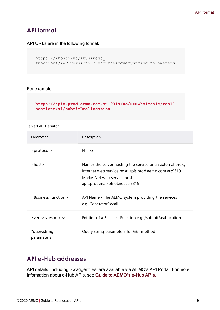## <span id="page-12-0"></span>**API format**

API URLs are in the following format:

```
https://<host>/ws/<br/>business
function>/<APIversion>/<resource>?querystring parameters
```
#### For example:

**[https://apis.prod.aemo.com.au:9319/ws/NEMWholesale/reall](https://apis.prod.aemo.com.au:9319/ws/NEMWholesale/reallocations/v1/submitReallocations) [ocations/v1/submitReallocation](https://apis.prod.aemo.com.au:9319/ws/NEMWholesale/reallocations/v1/submitReallocations)**

#### Table 1 API Definition

| Parameter                               | Description                                                                                                                                                                          |
|-----------------------------------------|--------------------------------------------------------------------------------------------------------------------------------------------------------------------------------------|
| <protocol></protocol>                   | <b>HTTPS</b>                                                                                                                                                                         |
| $<$ host $>$                            | Names the server hosting the service or an external proxy<br>Internet web service host: apis.prod.aemo.com.au:9319<br>MarketNet web service host:<br>apis.prod.marketnet.net.au:9319 |
| <business_function></business_function> | API Name - The AEMO system providing the services<br>e.g. GeneratorRecall                                                                                                            |
| <verb> <resource></resource></verb>     | Entities of a Business Function e.g. /submitReallocation                                                                                                                             |
| ?querystring<br>parameters              | Query string parameters for GET method                                                                                                                                               |

#### <span id="page-12-1"></span>**API e-Hub addresses**

API details, including Swagger files, are available via AEMO's API Portal. For more information about e-Hub APIs, see Guide to AEMO's e-Hub APIs.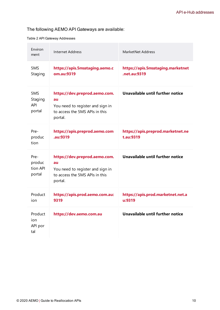#### The following AEMO API Gateways are available:

Table 2 API Gateway Addresses

| Environ<br>ment                        | <b>Internet Address</b>                                                                                              | MarketNet Address                                 |
|----------------------------------------|----------------------------------------------------------------------------------------------------------------------|---------------------------------------------------|
| 5MS<br>Staging                         | https://apis.5msstaging.aemo.c<br>om.au:9319                                                                         | https://apis.5msstaging.marketnet<br>.net.au:9319 |
| 5MS<br>Staging<br><b>API</b><br>portal | https://dev.preprod.aemo.com.<br>au<br>You need to register and sign in<br>to access the 5MS APIs in this<br>portal. | Unavailable until further notice                  |
| Pre-<br>produc<br>tion                 | https://apis.preprod.aemo.com<br>.au:9319                                                                            | https://apis.preprod.marketnet.ne<br>t.au:9319    |
| Pre-<br>produc<br>tion API<br>portal   | https://dev.preprod.aemo.com.<br>au<br>You need to register and sign in<br>to access the 5MS APIs in this<br>portal. | Unavailable until further notice                  |
| Product<br>ion                         | https://apis.prod.aemo.com.au:<br>9319                                                                               | https://apis.prod.marketnet.net.a<br>u:9319       |
| Product<br>ion.<br>API por<br>tal      | https://dev.aemo.com.au                                                                                              | Unavailable until further notice                  |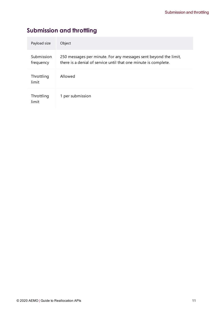## <span id="page-14-0"></span>**Submission and throttling**

| Payload size            | Object                                                                                                                              |
|-------------------------|-------------------------------------------------------------------------------------------------------------------------------------|
| Submission<br>frequency | 250 messages per minute. For any messages sent beyond the limit,<br>there is a denial of service until that one minute is complete. |
| Throttling<br>limit     | Allowed                                                                                                                             |
| Throttling<br>limit     | 1 per submission                                                                                                                    |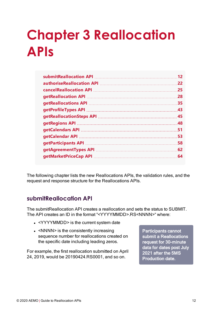# <span id="page-15-0"></span>**Chapter 3 Reallocation APIs**

| 12  |
|-----|
| 22  |
| .25 |
| .28 |
| 35  |
| .43 |
|     |
|     |
| .51 |
| 53  |
| 58  |
| 62  |
| 64  |

The following chapter lists the new Reallocations APIs, the validation rules, and the request and response structure for the Reallocations APIs.

#### <span id="page-15-1"></span>**submitReallocation API**

The submitReallocation API creates a reallocation and sets the status to SUBMIT. The API creates an ID in the format "<YYYYMMDD>.RS<NNNN>" where:

- <YYYYMMDD> is the current system date
- $\bullet$  <NNNN> is the consistently increasing sequence number for reallocations created on the specific date including leading zeros.

For example, the first reallocation submitted on April 24, 2019, would be 20190424.RS0001, and so on.

Participants cannot submit a Reallocations request for 30-minute data for dates post July 2021 after the 5MS Production date.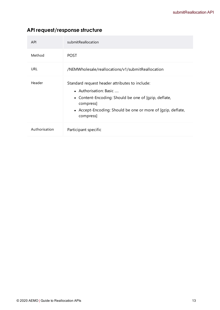## **API request/response structure**

| <b>API</b>    | submitReallocation                                                                                                                                                                                                        |
|---------------|---------------------------------------------------------------------------------------------------------------------------------------------------------------------------------------------------------------------------|
| Method        | <b>POST</b>                                                                                                                                                                                                               |
| URL           | /NEMWholesale/reallocations/v1/submitReallocation                                                                                                                                                                         |
| Header        | Standard request header attributes to include:<br>• Authorisation: Basic<br>• Content-Encoding: Should be one of [gzip, deflate,<br>compress]<br>• Accept-Encoding: Should be one or more of [qzip, deflate,<br>compress] |
| Authorisation | Participant specific                                                                                                                                                                                                      |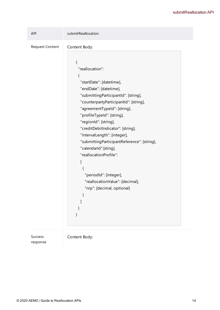#### submitReallocation API

| API                    | submitReallocation                                                                                                                                                                                                                                                                                             |
|------------------------|----------------------------------------------------------------------------------------------------------------------------------------------------------------------------------------------------------------------------------------------------------------------------------------------------------------|
| <b>Request Content</b> | Content Body:<br>{<br>"reallocation":<br>{<br>"startDate": [datetime],<br>"endDate": [datetime],<br>"submittingParticipantId": [string],<br>"counterpartyParticipantId": [string],<br>"agreementTypeId": [string],<br>"profileTypeId": [string],<br>"regionId": [string],<br>"creditDebitIndicator": [string], |
|                        | "intervalLength": [integer],<br>"submittingParticipantReference": [string],<br>"calendarId":[sting],<br>"reallocationProfile":<br>ſ<br>{<br>"periodId": [integer],<br>"reallocationValue": [decimal],<br>"nrp": [decimal, optional]                                                                            |

Success response Content Body:

© 2020 AEMO | Guide to Reallocation APIs 14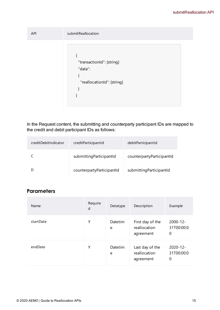| <b>API</b> | submitReallocation                                                 |
|------------|--------------------------------------------------------------------|
|            | "transactionId": [string]<br>"data":<br>"reallocationId": [string] |

In the Request content, the submitting and counterparty participant IDs are mapped to the credit and debit participant IDs as follows:

| creditDebitIndicator | creditParticipantId       | debitParticipantId        |
|----------------------|---------------------------|---------------------------|
|                      | submitting ParticipantId  | counterpartyParticipantId |
|                      | counterpartyParticipantId | submitting ParticipantId  |

#### **Parameters**

| Name      | Require<br>d | Datatype     | Description                                   | Example                          |
|-----------|--------------|--------------|-----------------------------------------------|----------------------------------|
| startDate | Υ            | Datetim<br>e | First day of the<br>reallocation<br>agreement | $2000 - 12 -$<br>31T00:00:0<br>0 |
| endDate   | Υ            | Datetim<br>e | Last day of the<br>reallocation<br>agreement  | $2020 - 12 -$<br>31T00:00:0<br>0 |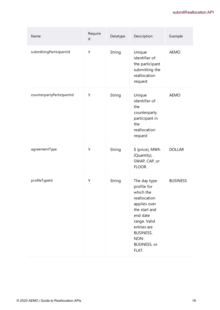| Name                      | Require<br>d | Datatype | Description                                                                                                                                                                                      | Example         |
|---------------------------|--------------|----------|--------------------------------------------------------------------------------------------------------------------------------------------------------------------------------------------------|-----------------|
| submittingParticipantId   | Υ            | String   | Unique<br>identifier of<br>the participant<br>submitting the<br>reallocation<br>request                                                                                                          | <b>AEMO</b>     |
| counterpartyParticipantId | Y            | String   | Unique<br>identifier of<br>the<br>counterparty<br>participant in<br>the<br>reallocation<br>request                                                                                               | <b>AEMO</b>     |
| agreementType             | Υ            | String   | \$ (price), MWh<br>(Quantity),<br>SWAP, CAP, or<br>FLOOR.                                                                                                                                        | <b>DOLLAR</b>   |
| profileTypeId             | Y            | String   | The day type<br>profile for<br>which the<br>reallocation<br>applies over<br>the start and<br>end date<br>range. Valid<br>entries are<br><b>BUSINESS,</b><br>NON-<br><b>BUSINESS, or</b><br>FLAT. | <b>BUSINESS</b> |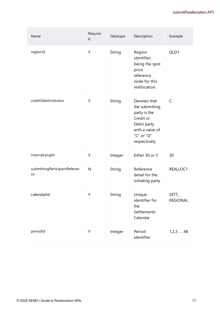| Name                               | Require<br>$\sf d$ | Datatype | Description                                                                                                                  | Example                  |
|------------------------------------|--------------------|----------|------------------------------------------------------------------------------------------------------------------------------|--------------------------|
| regionId                           | Υ                  | String   | Region<br>identifier,<br>being the spot<br>price<br>reference<br>node for this<br>reallocation.                              | QLD1                     |
| creditDebitIndicator               | Υ                  | String   | Denotes that<br>the submitting<br>party is the<br>Credit or<br>Debit party<br>with a value of<br>"C" or "D"<br>respectively. | C                        |
| intervalLength                     | Υ                  | Integer  | Either 30 or 5                                                                                                               | 30                       |
| submittingParticipantReferen<br>ce | $\mathsf{N}$       | String   | Reference<br>detail for the<br>initiating party                                                                              | REALLOC1                 |
| calendarId                         | Υ                  | String   | Unique<br>identifier for<br>the<br>Settlements<br>Calendar                                                                   | SETT_<br><b>REGIONAL</b> |
| periodId                           | Υ                  | Integer  | Period<br>identifier                                                                                                         | $1,2,3$ 48               |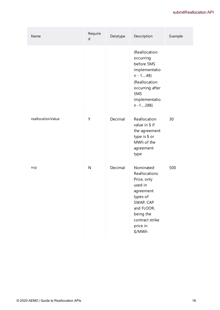| Name              | Require<br>d | Datatype | Description                                                                                                                                                    | Example |
|-------------------|--------------|----------|----------------------------------------------------------------------------------------------------------------------------------------------------------------|---------|
|                   |              |          | (Reallocation<br>occurring<br>before 5MS<br>implementatio<br>$n - 148$<br>(Reallocation<br>occurring after<br>5MS<br>implementatio<br>$n - 1$ 288)             |         |
| reallocationValue | Y            | Decimal  | Reallocation<br>value in \$ if<br>the agreement<br>type is \$ or<br>MWh of the<br>agreement<br>type                                                            | 30      |
| nrp               | N            | Decimal  | Nominated<br>Reallocations<br>Price, only<br>used in<br>agreement<br>types of<br>SWAP, CAP<br>and FLOOR,<br>being the<br>contract strike<br>price in<br>\$/MWh | 500     |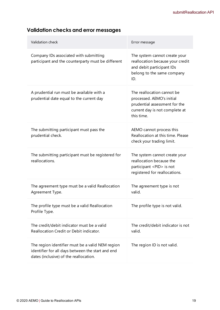| Validation check                                                                                                                                | Error message                                                                                                                            |
|-------------------------------------------------------------------------------------------------------------------------------------------------|------------------------------------------------------------------------------------------------------------------------------------------|
| Company IDs associated with submitting<br>participant and the counterparty must be different                                                    | The system cannot create your<br>reallocation because your credit<br>and debit participant IDs<br>belong to the same company<br>ID.      |
| A prudential run must be available with a<br>prudential date equal to the current day                                                           | The reallocation cannot be<br>processed. AEMO's initial<br>prudential assessment for the<br>current day is not complete at<br>this time. |
| The submitting participant must pass the<br>prudential check.                                                                                   | AEMO cannot process this<br>Reallocation at this time. Please<br>check your trading limit.                                               |
| The submitting participant must be registered for<br>reallocations.                                                                             | The system cannot create your<br>reallocation because the<br>participant <pid> is not<br/>registered for reallocations.</pid>            |
| The agreement type must be a valid Reallocation<br>Agreement Type.                                                                              | The agreement type is not<br>valid.                                                                                                      |
| The profile type must be a valid Reallocation<br>Profile Type.                                                                                  | The profile type is not valid.                                                                                                           |
| The credit/debit indicator must be a valid<br>Reallocation Credit or Debit indicator.                                                           | The credit/debit indicator is not<br>valid.                                                                                              |
| The region identifier must be a valid NEM region<br>identifier for all days between the start and end<br>dates (inclusive) of the reallocation. | The region ID is not valid.                                                                                                              |

## **Validation checks and error messages**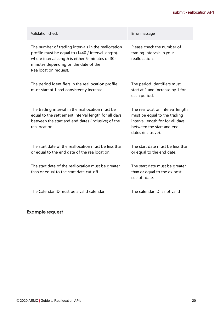| Validation check                                                                                                                                                                                                              | Error message                                                                                                                                           |
|-------------------------------------------------------------------------------------------------------------------------------------------------------------------------------------------------------------------------------|---------------------------------------------------------------------------------------------------------------------------------------------------------|
| The number of trading intervals in the reallocation<br>profile must be equal to (1440 / intervalLength),<br>where interval Length is either 5-minutes or 30-<br>minutes depending on the date of the<br>Reallocation request. | Please check the number of<br>trading intervals in your<br>reallocation.                                                                                |
| The period identifiers in the reallocation profile<br>must start at 1 and consistently increase.                                                                                                                              | The period identifiers must<br>start at 1 and increase by 1 for<br>each period.                                                                         |
| The trading interval in the reallocation must be<br>equal to the settlement interval length for all days<br>between the start and end dates (inclusive) of the<br>reallocation.                                               | The reallocation interval length<br>must be equal to the trading<br>interval length for for all days<br>between the start and end<br>dates (inclusive). |
| The start date of the reallocation must be less than<br>or equal to the end date of the reallocation.                                                                                                                         | The start date must be less than<br>or equal to the end date.                                                                                           |
| The start date of the reallocation must be greater<br>than or equal to the start date cut-off.                                                                                                                                | The start date must be greater<br>than or equal to the ex post<br>cut-off date.                                                                         |
| The Calendar ID must be a valid calendar.                                                                                                                                                                                     | The calendar ID is not valid                                                                                                                            |

#### **Example request**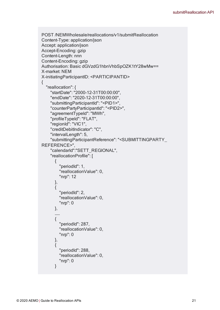```
POST /NEMWholesale/reallocations/v1/submitReallocation
Content-Type: application/json
Accept: application/json
Accept-Encoding: gzip
Content-Length: nnn
Content-Encoding: gzip
Authorisation: Basic dGVzdG1hbnVhbSpOZK1tY28wMw==
X-market: NEM
X-initiatingParticipantID: <PARTICIPANTID>
{
       "reallocation": {
              "startDate": "2000-12-31T00:00:00",
              "endDate": "2020-12-31T00:00:00",
              "submittingParticipantId": "<PID1>",
              "counterPartyParticipantId": "<PID2>",
              "agreementTypeId": "MWh",
              "profileTypeId": "FLAT",
              "regionId": "VIC1",
              "creditDebitIndicator": "C",
              "intervalLength": 5,
              "submittingParticipantReference": "<SUBMITTINGPARTY_
REFERENCE>",
              "calendarId":"SETT_REGIONAL",
              "reallocationProfile": [
         \{                "periodId": 1,
                            "reallocationValue": 0,
                            "nrp": 12
                     },
         {
                            "periodId": 2,
                            "reallocationValue": 0,
                            "nrp": 0
                     },
                     ……
         {
                            "periodId": 287,
                            "reallocationValue": 0,
                            "nrp": 0
                     },
         {
                            "periodId": 288,
                            "reallocationValue": 0,
                            "nrp": 0
                     }
```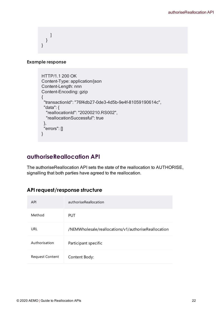] } }

#### **Example response**

```
HTTP/1.1 200 OK
Content-Type: application/json
Content-Length: nnn
Content-Encoding: gzip
{
   "transactionId": "76f4db27-0de3-4d5b-9e4f-81059190614c",
   "data": {
      "reallocationId": "20200210.RS002",
      "reallocationSuccessful": true
   },
   "errors": []
}
```
## <span id="page-25-0"></span>**authoriseReallocation API**

The authoriseReallocation API sets the state of the reallocation to AUTHORISE, signalling that both parties have agreed to the reallocation.

#### **API request/response structure**

| <b>API</b>             | authoriseReallocation                                |
|------------------------|------------------------------------------------------|
| Method                 | <b>PUT</b>                                           |
| URL                    | /NEMWholesale/reallocations/v1/authoriseReallocation |
| Authorisation          | Participant specific                                 |
| <b>Request Content</b> | Content Body:                                        |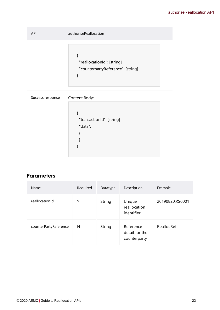| API              | authoriseReallocation                                                 |
|------------------|-----------------------------------------------------------------------|
|                  | "reallocationId": [string],<br>"counterpartyReference": [string]<br>} |
| Success response | Content Body:<br>"transactionId": [string]<br>"data":                 |

#### **Parameters**

| <b>Name</b>           | Required | Datatype | Description                                 | Example         |
|-----------------------|----------|----------|---------------------------------------------|-----------------|
| reallocationId        | Υ        | String   | Unique<br>reallocation<br>identifier        | 20190820.RS0001 |
| counterPartyReference | N        | String   | Reference<br>detail for the<br>counterparty | ReallocRef      |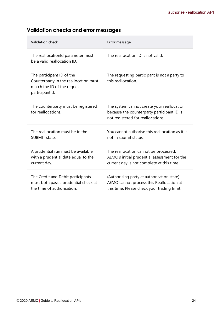## **Validation checks and error messages**

| Validation check                                                                                                    | Error message                                                                                                                         |
|---------------------------------------------------------------------------------------------------------------------|---------------------------------------------------------------------------------------------------------------------------------------|
| The reallocationId parameter must<br>be a valid reallocation ID.                                                    | The reallocation ID is not valid.                                                                                                     |
| The participant ID of the<br>Counterparty in the reallocation must<br>match the ID of the request<br>participantId. | The requesting participant is not a party to<br>this reallocation.                                                                    |
| The counterparty must be registered<br>for reallocations.                                                           | The system cannot create your reallocation<br>because the counterparty participant ID is<br>not registered for reallocations.         |
| The reallocation must be in the<br>SUBMIT state.                                                                    | You cannot authorise this reallocation as it is<br>not in submit status.                                                              |
| A prudential run must be available<br>with a prudential date equal to the<br>current day.                           | The reallocation cannot be processed.<br>AEMO's initial prudential assessment for the<br>current day is not complete at this time.    |
| The Credit and Debit participants<br>must both pass a prudential check at<br>the time of authorisation.             | (Authorising party at authorisation state)<br>AEMO cannot process this Reallocation at<br>this time. Please check your trading limit. |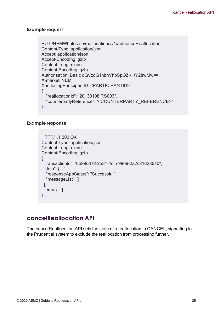#### **Example request**

```
PUT /NEMWholesale/reallocations/v1/authoriseReallocation
Content-Type: application/json
Accept: application/json
Accept-Encoding: gzip
Content-Length: nnn
Content-Encoding: gzip
Authorisation: Basic dGVzdG1hbnVhbSpOZK1tY28wMw==
X-market: NEM
X-initiatingParticipantID: <PARTICIPANTID>
{
  "reallocationId": "20130108.RS003",
  "counterpartyReference": "<COUNTERPARTY_REFERENCE>"
}
```
#### **Example response**

```
HTTP/1.1 200 OK
Content-Type: application/json
Content-Length: nnn
Content-Encoding: gzip
{
 "transactionId": "0598cd72-2a81-4cf5-9809-2a7c81d28610",
 "data": \{ "
  "responseAppStatus": "Successful",
  "messageList": []
 },
 "errors": []
}
```
#### <span id="page-28-0"></span>**cancelReallocation API**

The cancelReallocation API sets the state of a reallocation to CANCEL, signalling to the Prudential system to exclude the reallocation from processing further.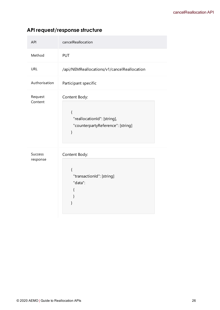## **API request/response structure**

| <b>API</b>                 | cancelReallocation                                                               |  |  |
|----------------------------|----------------------------------------------------------------------------------|--|--|
| Method                     | <b>PUT</b>                                                                       |  |  |
| <b>URL</b>                 | /api/NEMReallocations/v1/cancelReallocation                                      |  |  |
| Authorisation              | Participant specific                                                             |  |  |
| Request<br>Content         | Content Body:                                                                    |  |  |
|                            | $\{$<br>"reallocationId": [string],<br>"counterpartyReference": [string]<br>$\}$ |  |  |
| <b>Success</b><br>response | Content Body:<br>$\{$<br>"transactionId": [string]<br>"data":<br>{<br>ł<br>}     |  |  |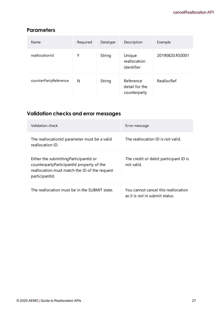#### **Parameters**

| Name                  | Required | Datatype | Description                                 | Example         |
|-----------------------|----------|----------|---------------------------------------------|-----------------|
| reallocationId        | Υ        | String   | Unique<br>reallocation<br>identifier        | 20190820.RS0001 |
| counterPartyReference | N        | String   | Reference<br>detail for the<br>counterparty | ReallocRef      |

## **Validation checks and error messages**

| Validation check                                                                                                                                       | Error message                                                         |
|--------------------------------------------------------------------------------------------------------------------------------------------------------|-----------------------------------------------------------------------|
| The reallocationid parameter must be a valid<br>reallocation ID.                                                                                       | The reallocation ID is not valid.                                     |
| Either the submitting Participantid or<br>counterpartyParticipantId property of the<br>reallocation must match the ID of the request<br>participantld. | The credit or debit participant ID is<br>not valid.                   |
| The reallocation must be in the SUBMIT state.                                                                                                          | You cannot cancel this reallocation<br>as it is not in submit status. |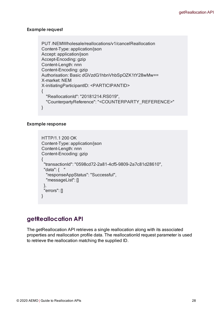#### **Example request**

```
PUT /NEMWholesale/reallocations/v1/cancelReallocation
Content-Type: application/json
Accept: application/json
Accept-Encoding: gzip
Content-Length: nnn
Content-Encoding: gzip
Authorisation: Basic dGVzdG1hbnVhbSpOZK1tY28wMw==
X-market: NEM
X-initiatingParticipantID: <PARTICIPANTID>
{
  "ReallocationId": "20181214.RS019",
  "CounterpartyReference": "<COUNTERPARTY_REFERENCE>"
}
```
#### **Example response**

```
HTTP/1.1 200 OK
Content-Type: application/json
Content-Length: nnn
Content-Encoding: gzip
{
 "transactionId": "0598cd72-2a81-4cf5-9809-2a7c81d28610",
 "data": {    "
  "responseAppStatus": "Successful",
  "messageList": []
 },
 "errors": []
}
```
#### <span id="page-31-0"></span>**getReallocation API**

The getReallocation API retrieves a single reallocation along with its associated properties and reallocation profile data. The reallocationId request parameter is used to retrieve the reallocation matching the supplied ID.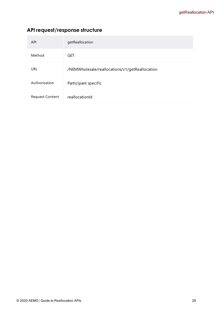## **API request/response structure**

| <b>API</b>             | getReallocation                                |
|------------------------|------------------------------------------------|
| Method                 | GET                                            |
| <b>URL</b>             | /NEMWholesale/reallocations/v1/getReallocation |
| Authorisation          | Participant specific                           |
| <b>Request Content</b> | reallocationId                                 |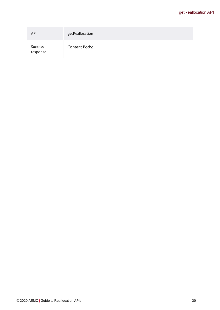| <b>API</b>          | getReallocation |
|---------------------|-----------------|
| Success<br>response | Content Body:   |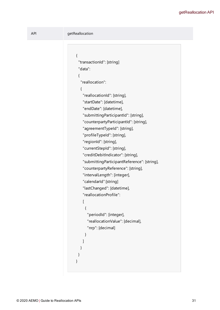```
API getReallocation
                          {
                            "transactionId": [string]
                            "data":
                            {
                             "reallocation":
                             {
                              "reallocationId": [string],
                              "startDate": [datetime],
                              "endDate": [datetime],
                              "submittingParticipantId": [string],
                              "counterpartyParticipantId": [string],
                              "agreementTypeId": [string],
                              "profileTypeId": [string],
                              "regionId": [string],
                              "currentStepId": [string],
                              "creditDebitIndicator": [string],
                              "submittingParticipantReference": [string],
                              "counterpartyReference": [string],
                              "intervalLength": [integer],
                              "calendarId":[string]
                              "lastChanged": [datetime],
                              "reallocationProfile":
                              \Gamma{
                                 "periodId": [integer],
                                 "reallocationValue": [decimal],
                                 "nrp": [decimal]
                               }
                              ]       
                             }
                           }
                          }
```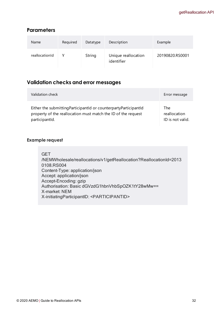#### **Parameters**

| <b>Name</b>    | Required | Datatype | Description                       | Example         |
|----------------|----------|----------|-----------------------------------|-----------------|
| reallocationId |          | String   | Unique reallocation<br>identifier | 20190820.RS0001 |

#### **Validation checks and error messages**

| Validation check                                                  | Error message    |
|-------------------------------------------------------------------|------------------|
| Either the submitting ParticipantId or counterparty ParticipantId | The              |
| property of the reallocation must match the ID of the request     | reallocation     |
| participantld.                                                    | ID is not valid. |

#### **Example request**

**GET** /NEMWholesale/reallocations/v1/getReallocation?ReallocationId=2013 0108.RS004 Content-Type: application/json Accept: application/json Accept-Encoding: gzip Authorisation: Basic dGVzdG1hbnVhbSpOZK1tY28wMw== X-market: NEM X-initiatingParticipantID: <PARTICIPANTID>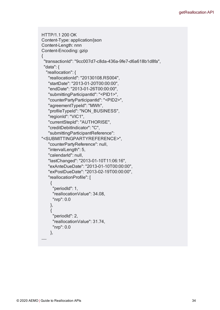```
HTTP/1.1 200 OK
Content-Type: application/json
Content-Length: nnn
Content-Encoding: gzip
{
 "transactionId": "9cc007d7-c8da-436a-9fe7-d6a618b1d8fa",
 "data": {
  "reallocation": {
   "reallocationId": "20130108.RS004",
   "startDate": "2013-01-20T00:00:00",
   "endDate": "2013-01-26T00:00:00",
   "submittingParticipantId": "<PID1>",
   "counterPartyParticipantId": "<PID2>",
   "agreementTypeId": "MWh",
   "profileTypeId": "NON_BUSINESS",
   "regionId": "VIC1",
   "currentStepId": "AUTHORISE",
   "creditDebitIndicator": "C",
   "submittingParticipantReference":
"<SUBMITTINGPARTYREFERENCE>",
   "counterPartyReference": null,
   "intervalLength": 5,
   "calendarId": null,
   "lastChanged": "2013-01-10T11:06:16",
   "exAnteDueDate": "2013-01-10T00:00:00",
   "exPostDueDate": "2013-02-19T00:00:00",
   "reallocationProfile": [
    {
     "periodId": 1,
     "reallocationValue": 34.08,
     "nrp": 0.0
    },
    {
     "periodId": 2,
     "reallocationValue": 31.74,
     "nrp": 0.0
    },
……
```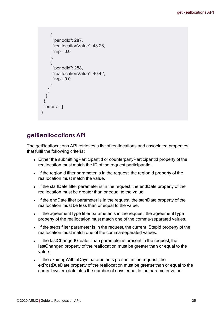```
{
      "periodId": 287,
      "reallocationValue": 43.26,
      "nrp": 0.0
    },
     {
      "periodId": 288,
      "reallocationValue": 40.42,
      "nrp": 0.0
     }
   ]
  }
 },
 "errors": []
}
```
# **getReallocations API**

The getReallocations API retrieves a list of reallocations and associated properties that fulfil the following criteria:

- Either the submittingParticipantId or counterpartyParticipantId property of the reallocation must match the ID of the request participantId.
- If the regionId filter parameter is in the request, the regionId property of the reallocation must match the value.
- If the startDate filter parameter is in the request, the endDate property of the reallocation must be greater than or equal to the value.
- If the endDate filter parameter is in the request, the startDate property of the reallocation must be less than or equal to the value.
- If the agreement Type filter parameter is in the request, the agreement Type property of the reallocation must match one of the comma-separated values.
- If the steps filter parameter is in the request, the current\_StepId property of the reallocation must match one of the comma-separated values.
- If the lastChangedGreaterThan parameter is present in the request, the lastChanged property of the reallocation must be greater than or equal to the value.
- If the expiring WithinDays parameter is present in the request, the exPostDueDate property of the reallocation must be greater than or equal to the current system date plus the number of days equal to the parameter value.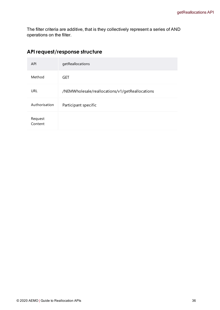The filter criteria are additive, that is they collectively represent a series of AND operations on the filter.

| <b>API</b>         | getReallocations                                |
|--------------------|-------------------------------------------------|
| Method             | <b>GET</b>                                      |
| <b>URL</b>         | /NEMWholesale/reallocations/v1/getReallocations |
| Authorisation      | Participant specific                            |
| Request<br>Content |                                                 |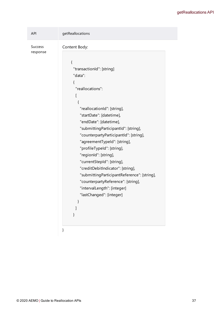| <b>API</b>          | getReallocations                                                                                                                                                                                                                                                                                                                                                                                                                                                                                                                                                                |  |  |  |
|---------------------|---------------------------------------------------------------------------------------------------------------------------------------------------------------------------------------------------------------------------------------------------------------------------------------------------------------------------------------------------------------------------------------------------------------------------------------------------------------------------------------------------------------------------------------------------------------------------------|--|--|--|
| Success<br>response | Content Body:<br>{<br>"transactionId": [string]<br>"data":<br>ł<br>"reallocations":<br>L<br>{<br>"reallocationId": [string],<br>"startDate": [datetime],<br>"endDate": [datetime],<br>"submitting ParticipantId": [string],<br>"counterpartyParticipantId": [string],<br>"agreementTypeId": [string],<br>"profileTypeId": [string],<br>"regionId": [string],<br>"currentStepId": [string],<br>"creditDebitIndicator": [string],<br>"submittingParticipantReference": [string],<br>"counterpartyReference": [string],<br>"intervalLength": [integer]<br>"lastChanged": [integer] |  |  |  |
|                     | }                                                                                                                                                                                                                                                                                                                                                                                                                                                                                                                                                                               |  |  |  |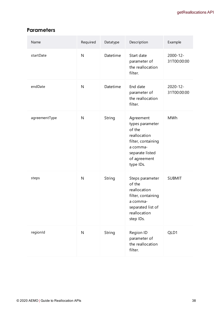## **Parameters**

| Name          | Required  | Datatype | Description                                                                                                                              | Example                 |
|---------------|-----------|----------|------------------------------------------------------------------------------------------------------------------------------------------|-------------------------|
| startDate     | ${\sf N}$ | Datetime | Start date<br>parameter of<br>the reallocation<br>filter.                                                                                | 2000-12-<br>31T00:00:00 |
| endDate       | ${\sf N}$ | Datetime | End date<br>parameter of<br>the reallocation<br>filter.                                                                                  | 2020-12-<br>31T00:00:00 |
| agreementType | N         | String   | Agreement<br>types parameter<br>of the<br>reallocation<br>filter, containing<br>a comma-<br>separate listed<br>of agreement<br>type IDs. | <b>MWh</b>              |
| steps         | ${\sf N}$ | String   | Steps parameter<br>of the<br>reallocation<br>filter, containing<br>a comma-<br>separated list of<br>reallocation<br>step IDs.            | <b>SUBMIT</b>           |
| regionId      | ${\sf N}$ | String   | Region ID<br>parameter of<br>the reallocation<br>filter.                                                                                 | QLD1                    |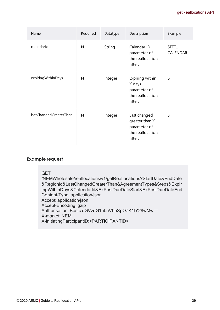| Name                   | Required | Datatype | Description                                                                   | Example                  |
|------------------------|----------|----------|-------------------------------------------------------------------------------|--------------------------|
| calendarId             | N        | String   | Calendar ID<br>parameter of<br>the reallocation<br>filter.                    | SETT_<br><b>CALENDAR</b> |
| expiring Within Days   | N        | Integer  | Expiring within<br>X days<br>parameter of<br>the reallocation<br>filter.      | 5                        |
| lastChangedGreaterThan | N        | Integer  | Last changed<br>greater than X<br>parameter of<br>the reallocation<br>filter. | 3                        |

#### GET

/NEMWholesale/reallocations/v1/getReallocations?StartDate&EndDate &RegionId&LastChangedGreaterThan&AgreementTypes&Steps&Expir ingWithinDays&CalendarId&ExPostDueDateStart&ExPostDueDateEnd Content-Type: application/json Accept: application/json Accept-Encoding: gzip Authorisation: Basic dGVzdG1hbnVhbSpOZK1tY28wMw== X-market: NEM X-initiatingParticipantID:<PARTICIPANTID>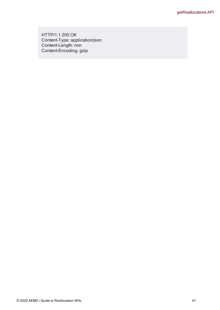HTTP/1.1 200 OK Content-Type: application/json Content-Length: nnn Content-Encoding: gzip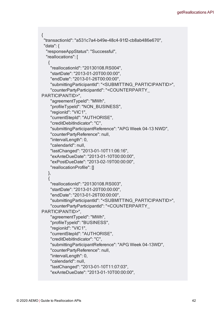```
\{"transactionId": "a531c7a4-b49e-48c4-91f2-cb8ab486e670",
 "data": {
  "responseAppStatus": "Successful",
  "reallocations": [
   {
    "reallocationId": "20130108.RS004",
    "startDate": "2013-01-20T00:00:00",
    "endDate": "2013-01-26T00:00:00",
    "submittingParticipantId": "<SUBMITTING_PARTICIPANTID>",
    "counterPartyParticipantId": "<COUNTERPARTY_
PARTICIPANTID>",
    "agreementTypeId": "MWh",
    "profileTypeId": "NON_BUSINESS",
    "regionId": "VIC1",
    "currentStepId": "AUTHORISE",
    "creditDebitIndicator": "C",
    "submittingParticipantReference": "APG Week 04-13 NWD",
    "counterPartyReference": null,
    "intervalLength": 0,
    "calendarId": null,
    "lastChanged": "2013-01-10T11:06:16",
    "exAnteDueDate": "2013-01-10T00:00:00",
    "exPostDueDate": "2013-02-19T00:00:00",
    "reallocationProfile": []
   },
   {
    "reallocationId": "20130108.RS003",
    "startDate": "2013-01-20T00:00:00",
    "endDate": "2013-01-26T00:00:00",
    "submittingParticipantId": "<SUBMITTING_PARTICIPANTID>",
    "counterPartyParticipantId": "<COUNTERPARTY_
PARTICIPANTID>",
    "agreementTypeId": "MWh",
    "profileTypeId": "BUSINESS",
    "regionId": "VIC1",
    "currentStepId": "AUTHORISE",
    "creditDebitIndicator": "C",
    "submittingParticipantReference": "APG Week 04-13WD",
    "counterPartyReference": null,
    "intervalLength": 0,
    "calendarId": null,
    "lastChanged": "2013-01-10T11:07:03",
    "exAnteDueDate": "2013-01-10T00:00:00",
```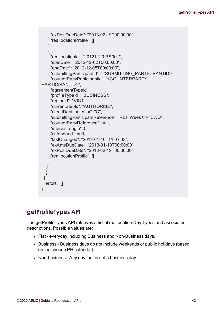```
"exPostDueDate": "2013-02-19T00:00:00",
    "reallocationProfile": []
   },
   {
    "reallocationId": "20121120.RS001",
    "startDate": "2012-12-02T00:00:00",
    "endDate": "2012-12-08T00:00:00",
    "submittingParticipantId": "<SUBMITTING_PARTICIPANTID>",
    "counterPartyParticipantId": "<COUNTERPARTY_
PARTICIPANTID>",
    "agreementTypeId"
            "profileTypeId": "BUSINESS",
    "regionId": "VIC1",
    "currentStepId": "AUTHORISE",
    "creditDebitIndicator": "C",
    "submittingParticipantReference": "REF Week 04-13WD",
    "counterPartyReference": null,
    "intervalLength": 0,
    "calendarId": null,
    "lastChanged": "2013-01-10T11:07:03",
    "exAnteDueDate": "2013-01-10T00:00:00",
    "exPostDueDate": "2013-02-19T00:00:00",
    "reallocationProfile": []
   }
  ]
  }
 },
 "errors": []
}
```
# **getProfileTypes API**

The getProfileTypes API retrieves a list of reallocation Day Types and associated descriptions. Possible values are:

- Flat everyday including Business and Non-Business days.
- Business Business days do not include weekends or public holidays (based on the chosen PH calendar).
- Non-business Any day that is not a business day.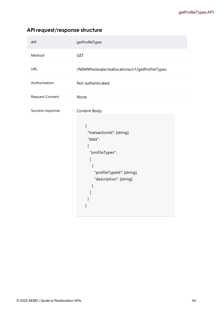| <b>API</b>       | getProfileTypes                                                                                                                                                  |
|------------------|------------------------------------------------------------------------------------------------------------------------------------------------------------------|
| Method           | <b>GET</b>                                                                                                                                                       |
| <b>URL</b>       | /NEMWholesale/reallocations/v1/getProfileTypes                                                                                                                   |
| Authorisation    | Not authenticated                                                                                                                                                |
| Request Content  | None                                                                                                                                                             |
| Success response | Content Body:<br>$\{$<br>"transactionId": [string]<br>"data":<br>{<br>"profileTypes":<br>[<br>$\{$<br>"profileTypeId": [string],<br>"description": [string]<br>} |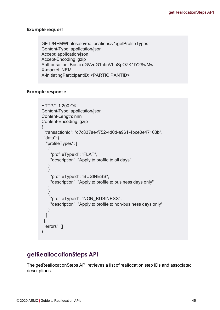GET /NEMWholesale/reallocations/v1/getProfileTypes Content-Type: application/json Accept: application/json Accept-Encoding: gzip Authorisation: Basic dGVzdG1hbnVhbSpOZK1tY28wMw== X-market: NEM X-initiatingParticipantID: <PARTICIPANTID>

## **Example response**

```
HTTP/1.1 200 OK
Content-Type: application/json
Content-Length: nnn
Content-Encoding: gzip
{
 "transactionId": "d7c837ae-f752-4d0d-a961-4bce0e47103b",
 "data": {
  "profileTypes": [
   {
    "profileTypeId": "FLAT",
    "description": "Apply to profile to all days"
   },
   {
    "profileTypeId": "BUSINESS",
    "description": "Apply to profile to business days only"
   },
   {
    "profileTypeId": "NON_BUSINESS",
    "description": "Apply to profile to non-business days only"
   }
  ]
 },
 "errors": []
)
```
## **getReallocationSteps API**

The getReallocationSteps API retrieves a list of reallocation step IDs and associated descriptions.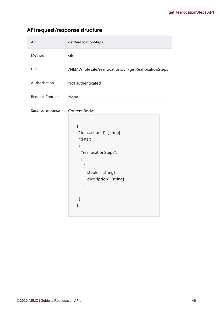|  |  | API request/response structure |  |
|--|--|--------------------------------|--|
|--|--|--------------------------------|--|

| <b>API</b>       | getReallocationSteps                                                                                                                                     |
|------------------|----------------------------------------------------------------------------------------------------------------------------------------------------------|
| Method           | <b>GET</b>                                                                                                                                               |
| <b>URL</b>       | /NEMWholesale/reallocations/v1/getReallocationSteps                                                                                                      |
| Authorisation    | Not authenticated                                                                                                                                        |
| Request Content  | None                                                                                                                                                     |
| Success response | Content Body:<br>{<br>"transactionId": [string]<br>"data":<br>{<br>"reallocationSteps":<br>ſ<br>{<br>"stepId": [string],<br>"description": [string]<br>} |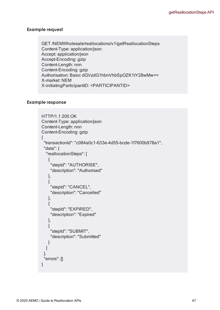GET /NEMWholesale/reallocations/v1/getReallocationSteps Content-Type: application/json Accept: application/json Accept-Encoding: gzip Content-Length: nnn Content-Encoding: gzip Authorisation: Basic dGVzdG1hbnVhbSpOZK1tY28wMw== X-market: NEM X-initiatingParticipantID: <PARTICIPANTID>

```
HTTP/1.1 200 OK
Content-Type: application/json
Content-Length: nnn
Content-Encoding: gzip
{
 "transactionId": "c084a0c1-633e-4d55-bcde-1f7600b978a1",
 "data": {
  "reallocationSteps": [
   {
    "stepId": "AUTHORISE",
    "description": "Authorised"
   },
   {
    "stepId": "CANCEL",
    "description": "Cancelled"
   },
   {
    "stepId": "EXPIRED",
    "description": "Expired"
   },
   {
    "stepId": "SUBMIT",
    "description": "Submitted"
   }
  ]
 },
 "errors": []
}
```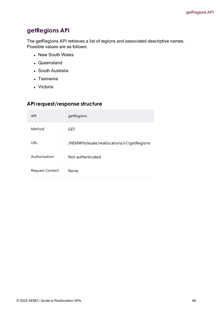# **getRegions API**

The getRegions API retrieves a list of regions and associated descriptive names. Possible values are as follows:

- New South Wales
- Queensland
- South Australia
- Tasmania
- Victoria

| <b>API</b>      | getRegions                                |
|-----------------|-------------------------------------------|
| Method          | GET                                       |
| URL             | /NEMWholesale/reallocations/v1/getRegions |
| Authorisation   | Not authenticated                         |
| Request Content | <b>None</b>                               |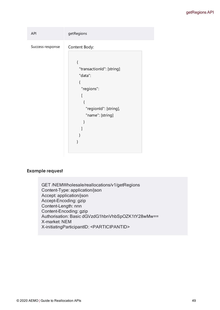| <b>API</b>       | getRegions                |  |  |
|------------------|---------------------------|--|--|
| Success response | Content Body:             |  |  |
|                  |                           |  |  |
|                  | "transactionId": [string] |  |  |
|                  | "data":                   |  |  |
|                  |                           |  |  |
|                  | "regions":                |  |  |
|                  |                           |  |  |
|                  |                           |  |  |
|                  | "regionId": [string],     |  |  |
|                  | "name": [string]          |  |  |
|                  |                           |  |  |
|                  |                           |  |  |
|                  |                           |  |  |
|                  |                           |  |  |
|                  |                           |  |  |

GET /NEMWholesale/reallocations/v1/getRegions Content-Type: application/json Accept: application/json Accept-Encoding: gzip Content-Length: nnn Content-Encoding: gzip Authorisation: Basic dGVzdG1hbnVhbSpOZK1tY28wMw== X-market: NEM X-initiatingParticipantID: <PARTICIPANTID>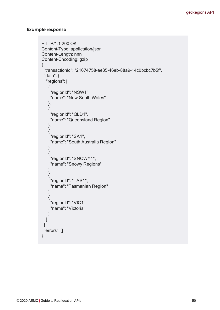```
HTTP/1.1 200 OK
Content-Type: application/json
Content-Length: nnn
Content-Encoding: gzip
{
 "transactionId": "21674758-ae35-46eb-88a9-14c0bcbc7b5f",
 "data": {
  "regions": [
   {
    "regionId": "NSW1",
    "name": "New South Wales"
   },
   {
    "regionId": "QLD1",
    "name": "Queensland Region"
   },
   {
    "regionId": "SA1",
    "name": "South Australia Region"
   },
   {
    "regionId": "SNOWY1",
    "name": "Snowy Regions"
   },
   {
    "regionId": "TAS1",
    "name": "Tasmanian Region"
   },
   {
    "regionId": "VIC1",
    "name": "Victoria"
   }
  ]
 },
 "errors": []
}
```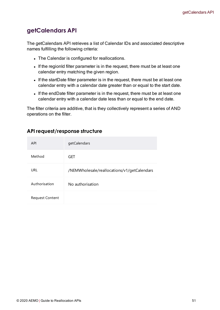# **getCalendars API**

The getCalendars API retrieves a list of Calendar IDs and associated descriptive names fulfilling the following criteria:

- The Calendar is configured for reallocations.
- If the regionId filter parameter is in the request, there must be at least one calendar entry matching the given region.
- If the startDate filter parameter is in the request, there must be at least one calendar entry with a calendar date greater than or equal to the start date.
- If the endDate filter parameter is in the request, there must be at least one calendar entry with a calendar date less than or equal to the end date.

The filter criteria are additive, that is they collectively represent a series of AND operations on the filter.

| <b>API</b>             | getCalendars                                |
|------------------------|---------------------------------------------|
| Method                 | GET                                         |
| URL                    | /NEMWholesale/reallocations/v1/getCalendars |
| Authorisation          | No authorisation                            |
| <b>Request Content</b> |                                             |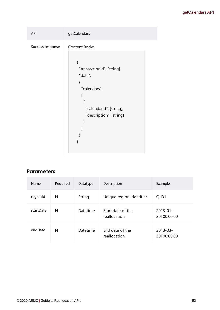## getCalendars API

| <b>API</b>       | getCalendars                                                                                                                     |  |  |
|------------------|----------------------------------------------------------------------------------------------------------------------------------|--|--|
| Success response | Content Body:<br>"transactionId": [string]<br>"data":<br>"calendars":<br>"calendarId": [string],<br>"description": [string]<br>} |  |  |
|                  |                                                                                                                                  |  |  |

## **Parameters**

| Name      | Required | Datatype | Description                       | Example                      |
|-----------|----------|----------|-----------------------------------|------------------------------|
| regionId  | N        | String   | Unique region identifier          | QLD1                         |
| startDate | N        | Datetime | Start date of the<br>reallocation | $2013 - 01 -$<br>20T00:00:00 |
| endDate   | N        | Datetime | End date of the<br>reallocation   | $2013 - 03 -$<br>20T00:00:00 |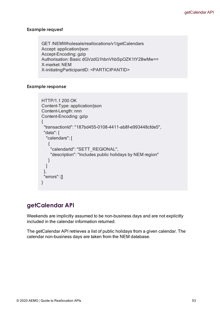GET /NEMWholesale/reallocations/v1/getCalendars Accept: application/json Accept-Encoding: gzip Authorisation: Basic dGVzdG1hbnVhbSpOZK1tY28wMw== X-market: NEM X-initiatingParticipantID: <PARTICIPANTID>

## **Example response**

```
HTTP/1.1 200 OK
Content-Type: application/json
Content-Length: nnn
Content-Encoding: gzip
{
 "transactionId": "187bd455-0108-4411-ab8f-e993448cfde5",
 "data": {
  "calendars": [
   {
    "calendarId": "SETT_REGIONAL",
    "description": "Includes public holidays by NEM region"
   }
  ]
 },
 "errors": []
}
```
## **getCalendar API**

Weekends are implicitly assumed to be non-business days and are not explicitly included in the calendar information returned.

The getCalendar API retrieves a list of public holidays from a given calendar. The calendar non-business days are taken from the NEM database.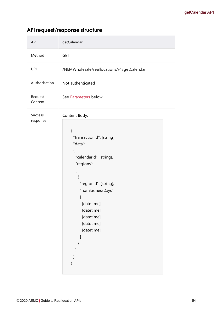| <b>API</b>          | getCalendar                                                                                                                                                                                                                                         |
|---------------------|-----------------------------------------------------------------------------------------------------------------------------------------------------------------------------------------------------------------------------------------------------|
| Method              | <b>GET</b>                                                                                                                                                                                                                                          |
| <b>URL</b>          | /NEMWholesale/reallocations/v1/getCalendar                                                                                                                                                                                                          |
| Authorisation       | Not authenticated                                                                                                                                                                                                                                   |
| Request<br>Content  | See Parameters below.                                                                                                                                                                                                                               |
| Success<br>response | Content Body:<br>$\{$<br>"transactionId": [string]<br>"data":<br>{<br>"calendarld": [string],<br>"regions":<br>ſ<br>{<br>"regionId": [string],<br>"nonBusinessDays":<br>[<br>[datetime],<br>[datetime],<br>[datetime],<br>[datetime],<br>[datetime] |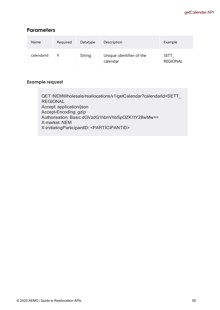## <span id="page-58-0"></span>**Parameters**

| Name       | Required | Datatype | Description                          | Example                        |
|------------|----------|----------|--------------------------------------|--------------------------------|
| calendarId |          | String   | Unique identifier of the<br>calendar | <b>SETT</b><br><b>REGIONAL</b> |

## **Example request**

GET /NEMWholesale/reallocations/v1/getCalendar?calendarId=SETT\_ REGIONAL Accept: application/json Accept-Encoding: gzip Authorisation: Basic dGVzdG1hbnVhbSpOZK1tY28wMw== X-market: NEM X-initiatingParticipantID: <PARTICIPANTID>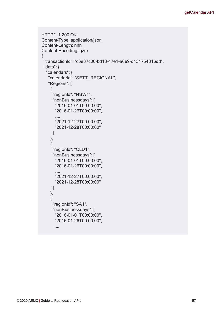```
HTTP/1.1 200 OK
Content-Type: application/json
Content-Length: nnn
Content-Encoding: gzip
{
 "transactionId": "c6e37c00-bd13-47e1-a6e9-d434754316dd",
 "data": {
  "calendars": {
   "calendarId": "SETT_REGIONAL",
   "Regions": [
    {
     "regionId": "NSW1",
     "nonBusinessdays": [
      "2016-01-01T00:00:00",
      "2016-01-26T00:00:00",         
      ……
      "2021-12-27T00:00:00",
      "2021-12-28T00:00:00"
     ]
    },
    {
     "regionId": "QLD1",
     "nonBusinessdays": [
      "2016-01-01T00:00:00",
      "2016-01-26T00:00:00",
      ……
      "2021-12-27T00:00:00",
      "2021-12-28T00:00:00"
     ]
    },
    {
     "regionId": "SA1",
     "nonBusinessdays": [
      "2016-01-01T00:00:00",
      "2016-01-26T00:00:00",
```
……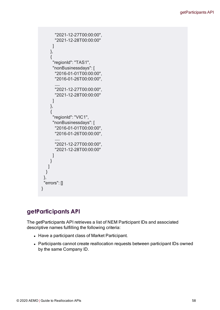```
"2021-12-27T00:00:00",
      "2021-12-28T00:00:00"
     ]
    },
    {
     "regionId": "TAS1",
     "nonBusinessdays": [
      "2016-01-01T00:00:00",
      "2016-01-26T00:00:00",
      ……
      "2021-12-27T00:00:00",
      "2021-12-28T00:00:00"
     ]
    },
    {
     "regionId": "VIC1",
     "nonBusinessdays": [
      "2016-01-01T00:00:00",
      "2016-01-26T00:00:00",
       ……
      "2021-12-27T00:00:00",
      "2021-12-28T00:00:00"
     ]
    }
   ]
  }
 },
 "errors": []
}
```
# **getParticipants API**

The getParticipants API retrieves a list of NEM Participant IDs and associated descriptive names fulfilling the following criteria:

- Have a participant class of Market Participant.
- Participants cannot create reallocation requests between participant IDs owned by the same Company ID.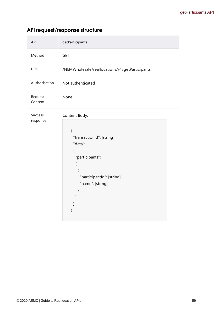| <b>API</b>          | getParticipants                                                                                                                                             |  |  |
|---------------------|-------------------------------------------------------------------------------------------------------------------------------------------------------------|--|--|
| Method              | <b>GET</b>                                                                                                                                                  |  |  |
| <b>URL</b>          | /NEMWholesale/reallocations/v1/getParticipants                                                                                                              |  |  |
| Authorisation       | Not authenticated                                                                                                                                           |  |  |
| Request<br>Content  | None                                                                                                                                                        |  |  |
| Success<br>response | Content Body:<br>{<br>"transactionId": [string]<br>"data":<br>{<br>"participants":<br>ſ<br>$\{$<br>"participantId": [string],<br>"name": [string]<br>}<br>} |  |  |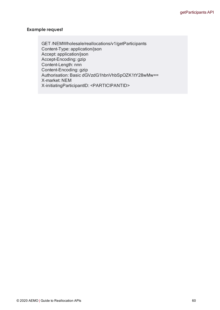GET /NEMWholesale/reallocations/v1/getParticipants Content-Type: application/json Accept: application/json Accept-Encoding: gzip Content-Length: nnn Content-Encoding: gzip Authorisation: Basic dGVzdG1hbnVhbSpOZK1tY28wMw== X-market: NEM X-initiatingParticipantID: <PARTICIPANTID>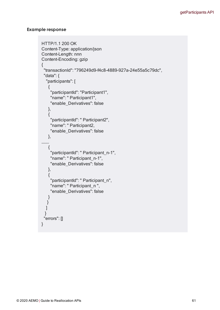```
HTTP/1.1 200 OK
Content-Type: application/json
Content-Length: nnn
Content-Encoding: gzip
{
 "transactionId": "796249d9-f4c8-4889-927a-24e55a5c79dc",
 "data": {
  "participants": [
   {
    "participantId": "Participant1",
    "name": " Participant1",
    "enable_Derivatives": false
   },
   {
    "participantId": " Participant2",
    "name": " Participant2,
    "enable_Derivatives": false
   },
………    
   {
    "participantId": " Participant_n-1",
    "name": " Participant_n-1",
    "enable_Derivatives": false
   },
   {
    "participantId": " Participant_n",
    "name": " Participant_n ",
    "enable_Derivatives": false
   }
  }
  ]
 }
 "errors": []
}
```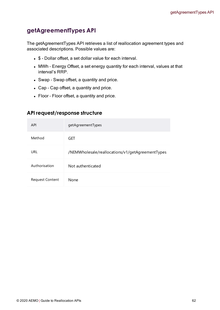# **getAgreementTypes API**

The getAgreementTypes API retrieves a list of reallocation agreement types and associated descriptions. Possible values are:

- \$ Dollar offset, a set dollar value for each interval.
- MWh Energy Offset, a set energy quantity for each interval, values at that interval's RRP.
- Swap Swap offset, a quantity and price.
- Cap Cap offset, a quantity and price.
- Floor Floor offset, a quantity and price.

| <b>API</b>             | getAgreementTypes                                |
|------------------------|--------------------------------------------------|
| Method                 | <b>GET</b>                                       |
| URL                    | /NEMWholesale/reallocations/v1/getAgreementTypes |
| Authorisation          | Not authenticated                                |
| <b>Request Content</b> | <b>None</b>                                      |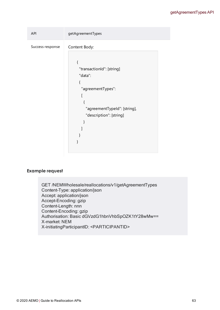#### getAgreementTypes API

```
API getAgreementTypes
Success response  Content Body:
                        {
                         "transactionId": [string]
                         "data":
                         {
                           "agreementTypes":
                          \sqrt{2}{
                             "agreementTypeId": [string],
                             "description": [string]
                           }
                          ]
                         }
                        }
```
#### **Example request**

GET /NEMWholesale/reallocations/v1/getAgreementTypes Content-Type: application/json Accept: application/json Accept-Encoding: gzip Content-Length: nnn Content-Encoding: gzip Authorisation: Basic dGVzdG1hbnVhbSpOZK1tY28wMw== X-market: NEM X-initiatingParticipantID: <PARTICIPANTID>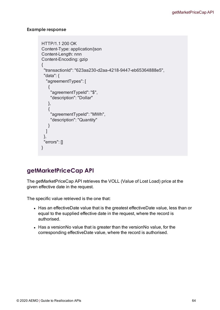## **Example response**

```
HTTP/1.1 200 OK
Content-Type: application/json
Content-Length: nnn
Content-Encoding: gzip
{
 "transactionId": "623aa230-d2aa-4218-9447-eb65364888e5",
 "data": {
  "agreementTypes": [
   {
    "agreementTypeId": "$",
    "description": "Dollar"
   },
   {
    "agreementTypeId": "MWh",
    "description": "Quantity"
   }
 ]
 },
 "errors": []
}
```
# **getMarketPriceCap API**

The getMarketPriceCap API retrieves the VOLL (Value of Lost Load) price at the given effective date in the request.

The specific value retrieved is the one that:

- Has an effectiveDate value that is the greatest effectiveDate value, less than or equal to the supplied effective date in the request, where the record is authorised.
- Has a versionNo value that is greater than the versionNo value, for the corresponding effectiveDate value, where the record is authorised.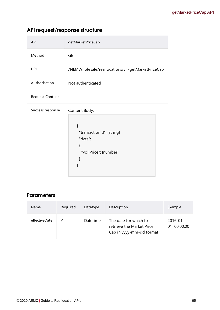|  |  | API request/response structure |  |
|--|--|--------------------------------|--|
|--|--|--------------------------------|--|

| <b>API</b>             | getMarketPriceCap                                                                                     |
|------------------------|-------------------------------------------------------------------------------------------------------|
| Method                 | <b>GET</b>                                                                                            |
| <b>URL</b>             | /NEMWholesale/reallocations/v1/getMarketPriceCap                                                      |
| Authorisation          | Not authenticated                                                                                     |
| <b>Request Content</b> |                                                                                                       |
| Success response       | Content Body:<br>{<br>"transactionId": [string]<br>"data":<br>$\{$<br>"vollPrice": [number]<br>}<br>} |

## **Parameters**

| <b>Name</b>   | Required | Datatype | Description                                                                    | Example                      |
|---------------|----------|----------|--------------------------------------------------------------------------------|------------------------------|
| effectiveDate | v        | Datetime | The date for which to<br>retrieve the Market Price<br>Cap in yyyy-mm-dd format | $2016 - 01 -$<br>01T00:00:00 |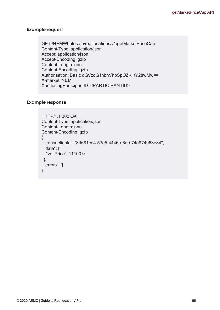GET /NEMWholesale/reallocations/v1/getMarketPriceCap Content-Type: application/json Accept: application/json Accept-Encoding: gzip Content-Length: nnn Content-Encoding: gzip Authorisation: Basic dGVzdG1hbnVhbSpOZK1tY28wMw== X-market: NEM X-initiatingParticipantID: <PARTICIPANTID>

```
HTTP/1.1 200 OK
Content-Type: application/json
Content-Length: nnn
Content-Encoding: gzip
{
 "transactionId": "3d681ce4-57e5-4446-a6d9-74a874963e84",
 "data": {
  "vollPrice": 11100.0
 },
 "errors": []
}
```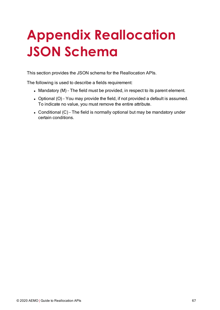# **Appendix Reallocation JSON Schema**

This section provides the JSON schema for the Reallocation APIs.

The following is used to describe a fields requirement:

- Mandatory (M) The field must be provided, in respect to its parent element.
- Optional (O) You may provide the field, if not provided a default is assumed. To indicate no value, you must remove the entire attribute.
- Conditional  $(C)$  The field is normally optional but may be mandatory under certain conditions.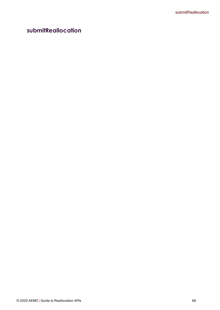# **submitReallocation**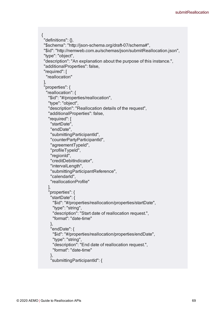```
{
"definitions": {},
"$schema": "http://json-schema.org/draft-07/schema#",
"$id": "http://nemweb.com.au/schemas/json/submitReallocation.json",
"type": "object",
 "description": "An explanation about the purpose of this instance.",
"additionalProperties": false,
 "required": [
  "reallocation"
],
 "properties": {
  "reallocation": {
   "$id": "#/properties/reallocation",
   "type": "object",
   "description": "Reallocation details of the request",
   "additionalProperties": false,
   "required": [
    "startDate",
    "endDate",
    "submittingParticipantId",
    "counterPartyParticipantId",
    "agreementTypeId",
    "profileTypeId",
    "regionId",
    "creditDebitIndicator",
    "intervalLength",
    "submittingParticipantReference",
    "calendarId",
    "reallocationProfile"
   ],
   "properties": {
    "startDate": {
     "$id": "#/properties/reallocation/properties/startDate",
     "type": "string",
     "description": "Start date of reallocation request.",
     "format": "date-time"
    },
    "endDate": {
     "$id": "#/properties/reallocation/properties/endDate",
     "type": "string",
     "description": "End date of reallocation request.",
     "format": "date-time"
    },
    "submittingParticipantId": {
```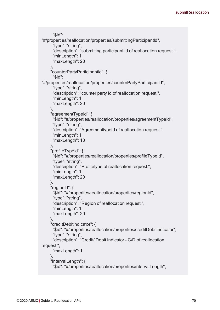```
"$id":
"#/properties/reallocation/properties/submittingParticipantId",
      "type": "string",
      "description": "submitting participant id of reallocation request.",
      "minLength": 1,
      "maxLength": 20
    },
     "counterPartyParticipantId": {
      "$id":
"#/properties/reallocation/properties/counterPartyParticipantId",
      "type": "string",
      "description": "counter party id of reallocation request.",
      "minLength": 1,
      "maxLength": 20
    },
     "agreementTypeId": {
     "$id": "#/properties/reallocation/properties/agreementTypeId",
      "type": "string",
      "description": "Agreementtypeid of reallocation request.",
      "minLength": 1.
      "maxLength": 10
    },
     "profileTypeId": {
     "$id": "#/properties/reallocation/properties/profileTypeId",
      "type": "string",
      "description": "Profiletype of reallocation request.",
      "minLength": 1,
      "maxLength": 20
    },
    "regionId": {
      "$id": "#/properties/reallocation/properties/regionId",
      "type": "string",
      "description": "Region of reallocation request.",
      "minLength": 1,
      "maxLength": 20
    },
    "creditDebitIndicator": {
      "$id": "#/properties/reallocation/properties/creditDebitIndicator",
      "type": "string",
      "description": "Credit/ Debit indicator - C/D of reallocation
request.",
      "maxLength": 1
    },
    "intervalLength": {
      "$id": "#/properties/reallocation/properties/intervalLength",
```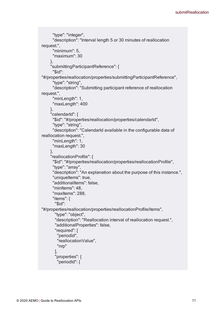```
"type": "integer",
      "description": "Interval length 5 or 30 minutes of reallocation
request.",
      "minimum": 5,
      "maximum": 30
    },
     "submittingParticipantReference": {
      "$id":
"#/properties/reallocation/properties/submittingParticipantReference",
      "type": "string",
      "description": "Submitting participant reference of reallocation
request.",
      "minLength": 1,
      "maxLength": 400
    },
     "calendarId": {
     "$id": "#/properties/reallocation/properties/calendarId",
      "type": "string",
      "description": "CalendarId available in the configurable data of
reallocation request.",
      "minLength": 1,
      "maxLength": 30
    },
    "reallocationProfile": {
      "$id": "#/properties/reallocation/properties/reallocationProfile",
      "type": "array",
      "description": "An explanation about the purpose of this instance.",
      "uniqueItems": true,
      "additionalItems": false,
      "minItems": 48,
      "maxItems": 288,
      "items": {
       "$id":
"#/properties/reallocation/properties/reallocationProfile/items",
       "type": "object",
       "description": "Reallocation interval of reallocation request.",
       "additionalProperties": false,
       "required": [
        "periodId",
        "reallocationValue",
        "nrp"
       ],
       "properties": {
        "periodId": {
```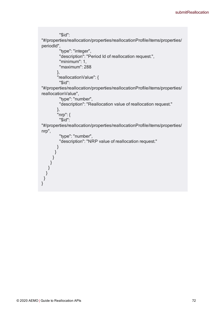```
"$id":
"#/properties/reallocation/properties/reallocationProfile/items/properties/
periodId",
         "type": "integer",
         "description": "Period Id of reallocation request.",
         "minimum": 1,
         "maximum": 288
        },
        "reallocationValue": {
         "$id":
"#/properties/reallocation/properties/reallocationProfile/items/properties/
reallocationValue",
         "type": "number",
         "description": "Reallocation value of reallocation request."
        },
        "nrp": {
         "$id":
"#/properties/reallocation/properties/reallocationProfile/items/properties/
nrp",
         "type": "number",
         "description": "NRP value of reallocation request."
        }
       }
      }
     }
    }
  }
}
}
```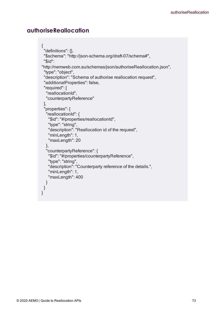## **authoriseReallocation**

```
{
 "definitions": {},
 "$schema": "http://json-schema.org/draft-07/schema#",
 "$id":
"http://nemweb.com.au/schemas/json/authoriseReallocation.json",
 "type": "object",
 "description": "Schema of authorise reallocation request",
 "additionalProperties": false,
 "required": [
  "reallocationId",
  "counterpartyReference"
 ],
 "properties": {  
  "reallocationId": {
   "$id": "#/properties/reallocationId",
   "type": "string",
   "description": "Reallocation id of the request",
   "minLength": 1,
   "maxLength": 20
  },
  "counterpartyReference": {
   "$id": "#/properties/counterpartyReference",
   "type": "string",
   "description": "Counterparty reference of the details.",
   "minLength": 1,
   "maxLength": 400
  }
}
}
```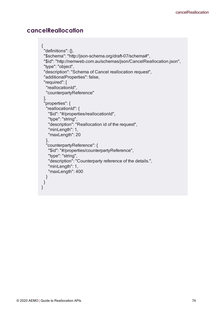## **cancelReallocation**

```
{
 "definitions": {},
 "$schema": "http://json-schema.org/draft-07/schema#",
 "$id": "http://nemweb.com.au/schemas/json/CancelReallocation.json",
 "type": "object",
 "description": "Schema of Cancel reallocation request",
 "additionalProperties": false,
 "required": [
  "reallocationId",
  "counterpartyReference"
 ],
 "properties": {  
  "reallocationId": {
   "$id": "#/properties/reallocationId",
   "type": "string",
   "description": "Reallocation id of the request",
   "minLength": 1,
   "maxLength": 20
  },
  "counterpartyReference": {
   "$id": "#/properties/counterpartyReference",
   "type": "string",
   "description": "Counterparty reference of the details.",
   "minLength": 1,
   "maxLength": 400
  }
}
}
```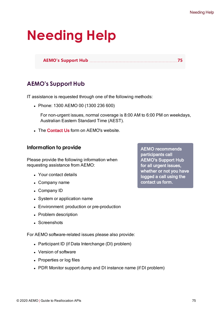# **Needing Help**

**AEMO's [Support](#page-78-0) Hub [75](#page-78-0)**

## <span id="page-78-0"></span>**AEMO's Support Hub**

IT assistance is requested through one of the following methods:

• Phone: 1300 AEMO 00 (1300 236 600)

For non-urgent issues, normal coverage is 8:00 AM to 6:00 PM on weekdays, Australian Eastern Standard Time (AEST).

• The [Contact](https://aemo.com.au/Contact-us) Us form on AEMO's website.

## **Information to provide**

Please provide the following information when requesting assistance from AEMO:

- Your contact details
- Company name
- Company ID
- System or application name
- Environment: production or pre-production
- Problem description
- **Screenshots**

For AEMO software-related issues please also provide:

- Participant ID (if Data Interchange (DI) problem)
- Version of software
- Properties or log files
- PDR Monitor support dump and DI instance name (if DI problem)

AEMO recommends participants call AEMO's Support Hub for all urgent issues, whether or not you have logged a call using the contact us form.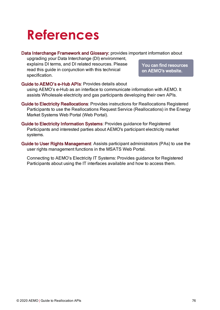## **References**

#### Data Interchange Framework and Glossary: provides important information about

upgrading your Data Interchange (DI) environment, explains DI terms, and DI related resources. Please read this guide in conjunction with this technical specification.

You can find resources on AEMO's website.

Guide to AEMO's e-Hub APIs: Provides details about using AEMO's e-Hub as an interface to communicate information with AEMO. It assists Wholesale electricity and gas participants developing their own APIs.

- Guide to Electricity Reallocations: Provides instructions for Reallocations Registered Participants to use the Reallocations Request Service (Reallocations) in the Energy Market Systems Web Portal (Web Portal).
- Guide to Electricity Information Systems: Provides guidance for Registered Participants and interested parties about AEMO's participant electricity market systems.
- Guide to User Rights Management: Assists participant administrators (PAs) to use the user rights management functions in the MSATS Web Portal.

Connecting to AEMO's Electricity IT Systems: Provides guidance for Registered Participants about using the IT interfaces available and how to access them.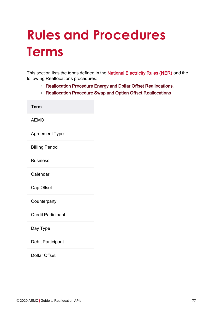# **Rules and Procedures Terms**

This section lists the terms defined in the National [Electricity](https://www.aemc.gov.au/regulation/energy-rules/national-electricity-rules/current) Rules (NER) and the following Reallocations procedures:

- <sup>o</sup> Reallocation Procedure Energy and Dollar Offset Reallocations.
- <sup>o</sup> Reallocation Procedure Swap and Option Offset Reallocations.

| Term                      |
|---------------------------|
| <b>AEMO</b>               |
| <b>Agreement Type</b>     |
| <b>Billing Period</b>     |
| <b>Business</b>           |
| Calendar                  |
| Cap Offset                |
| Counterparty              |
| <b>Credit Participant</b> |
| Day Type                  |
| Debit Participant         |
| <b>Dollar Offset</b>      |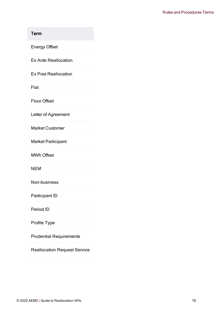#### Term

Energy Offset

Ex Ante Reallocation

Ex Post Reallocation

Flat

Floor Offset

Letter of Agreement

Market Customer

Market Participant

MWh Offset

NEM

Non-business

Participant ID

Period ID

Profile Type

Prudential Requirements

Reallocation Request Service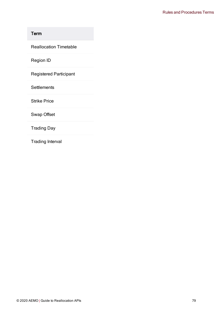## Term

Reallocation Timetable

Region ID

Registered Participant

**Settlements** 

Strike Price

Swap Offset

Trading Day

Trading Interval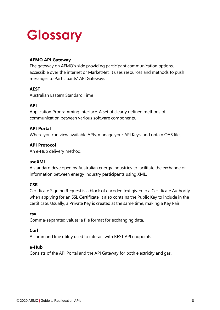# <span id="page-84-0"></span>**Glossary**

#### **AEMO API Gateway**

The gateway on AEMO's side providing participant communication options, accessible over the internet or MarketNet. It uses resources and methods to push messages to Participants' API Gateways .

#### **AEST**

Australian Eastern Standard Time

#### **API**

Application Programming Interface. A set of clearly defined methods of communication between various software components.

#### **API Portal**

Where you can view available APIs, manage your API Keys, and obtain OAS files.

#### **API Protocol**

An e-Hub delivery method.

#### **aseXML**

A standard developed by Australian energy industries to facilitate the exchange of information between energy industry participants using XML.

#### **CSR**

Certificate Signing Request is a block of encoded text given to a Certificate Authority when applying for an SSL Certificate. It also contains the Public Key to include in the certificate. Usually, a Private Key is created at the same time, making a Key Pair.

#### **csv**

Comma-separated values; a file format for exchanging data.

#### **Curl**

A command line utility used to interact with REST API endpoints.

#### **e-Hub**

Consists of the API Portal and the API Gateway for both electricity and gas.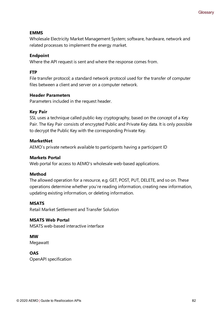#### **EMMS**

Wholesale Electricity Market Management System; software, hardware, network and related processes to implement the energy market.

#### **Endpoint**

Where the API request is sent and where the response comes from.

#### **FTP**

File transfer protocol; a standard network protocol used for the transfer of computer files between a client and server on a computer network.

#### **Header Parameters**

Parameters included in the request header.

#### **Key Pair**

SSL uses a technique called public-key cryptography, based on the concept of a Key Pair. The Key Pair consists of encrypted Public and Private Key data. It is only possible to decrypt the Public Key with the corresponding Private Key.

#### **MarketNet**

AEMO's private network available to participants having a participant ID

#### **Markets Portal**

Web portal for access to AEMO's wholesale web-based applications.

#### **Method**

The allowed operation for a resource, e.g. GET, POST, PUT, DELETE, and so on. These operations determine whether you're reading information, creating new information, updating existing information, or deleting information.

#### **MSATS**

Retail Market Settlement and Transfer Solution

#### **MSATS Web Portal**

MSATS web-based interactive interface

### **MW**

Megawatt

#### **OAS**

OpenAPI specification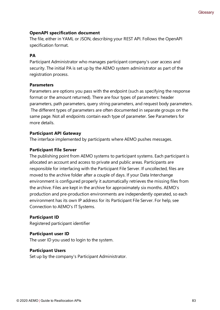#### **OpenAPI specification document**

The file, either in YAML or JSON, describing your REST API. Follows the OpenAPI specification format.

#### **PA**

Participant Administrator who manages participant company's user access and security. The initial PA is set up by the AEMO system administrator as part of the registration process.

#### **Parameters**

Parameters are options you pass with the endpoint (such as specifying the response format or the amount returned). There are four types of parameters: header parameters, path parameters, query string parameters, and request body parameters. The different types of parameters are often documented in separate groups on the same page. Not all endpoints contain each type of parameter. See Parameters for more details.

#### **Participant API Gateway**

The interface implemented by participants where AEMO pushes messages.

#### **Participant File Server**

The publishing point from AEMO systems to participant systems. Each participant is allocated an account and access to private and public areas. Participants are responsible for interfacing with the Participant File Server. If uncollected, files are moved to the archive folder after a couple of days. If your Data Interchange environment is configured properly it automatically retrieves the missing files from the archive. Files are kept in the archive for approximately six months. AEMO's production and pre-production environments are independently operated, so each environment has its own IP address for its Participant File Server. For help, see Connection to AEMO's IT Systems.

#### **Participant ID**

Registered participant identifier

#### **Participant user ID**

The user ID you used to login to the system.

#### **Participant Users**

Set up by the company's Participant Administrator.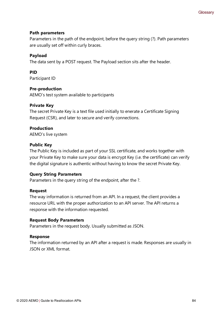#### **Path parameters**

Parameters in the path of the endpoint, before the query string (?). Path parameters are usually set off within curly braces.

#### **Payload**

The data sent by a POST request. The Payload section sits after the header.

#### **PID**

Participant ID

#### **Pre-production**

AEMO's test system available to participants

#### **Private Key**

The secret Private Key is a text file used initially to enerate a Certificate Signing Request (CSR), and later to secure and verify connections.

#### **Production**

AEMO's live system

#### **Public Key**

The Public Key is included as part of your SSL certificate, and works together with your Private Key to make sure your data is encrypt Key (i.e. the certificate) can verify the digital signature is authentic without having to know the secret Private Key.

#### **Query String Parameters**

Parameters in the query string of the endpoint, after the ?.

#### **Request**

The way information is returned from an API. In a request, the client provides a resource URL with the proper authorization to an API server. The API returns a response with the information requested.

#### **Request Body Parameters**

Parameters in the request body. Usually submitted as JSON.

#### **Response**

The information returned by an API after a request is made. Responses are usually in JSON or XML format.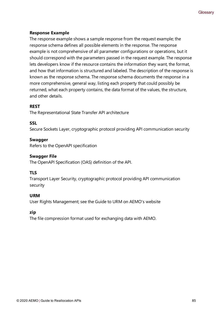#### **Response Example**

The response example shows a sample response from the request example; the response schema defines all possible elements in the response. The response example is not comprehensive of all parameter configurations or operations, but it should correspond with the parameters passed in the request example. The response lets developers know if the resource contains the information they want, the format, and how that information is structured and labeled. The description of the response is known as the response schema. The response schema documents the response in a more comprehensive, general way, listing each property that could possibly be returned, what each property contains, the data format of the values, the structure, and other details.

#### **REST**

The Representational State Transfer API architecture

#### **SSL**

Secure Sockets Layer, cryptographic protocol providing API communication security

#### **Swagger**

Refers to the OpenAPI specification

#### **Swagger File**

The OpenAPI Specification (OAS) definition of the API.

#### **TLS**

Transport Layer Security, cryptographic protocol providing API communication security

#### **URM**

User Rights Management; see the Guide to URM on AEMO's website

#### **zip**

The file compression format used for exchanging data with AEMO.